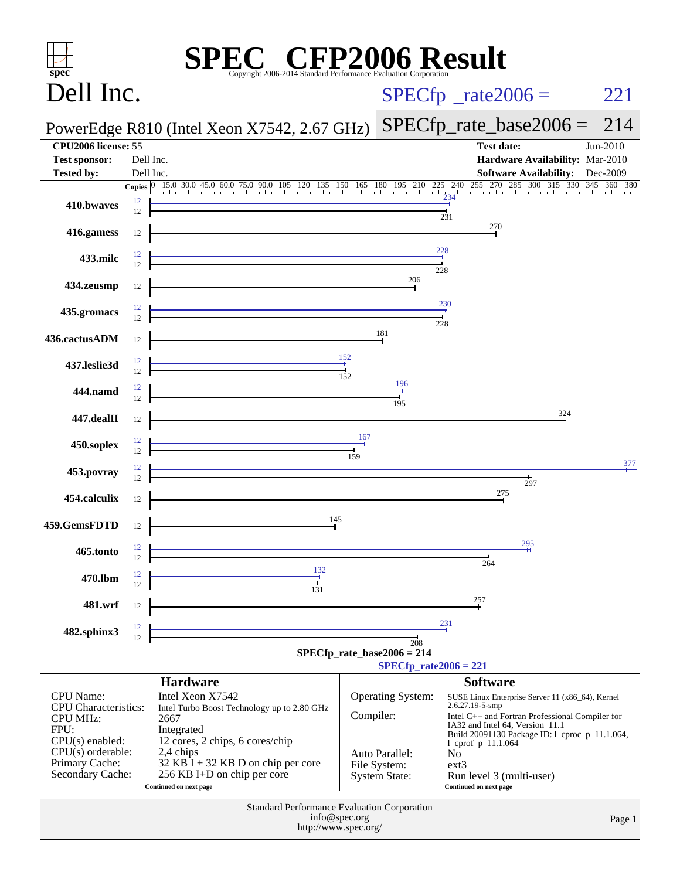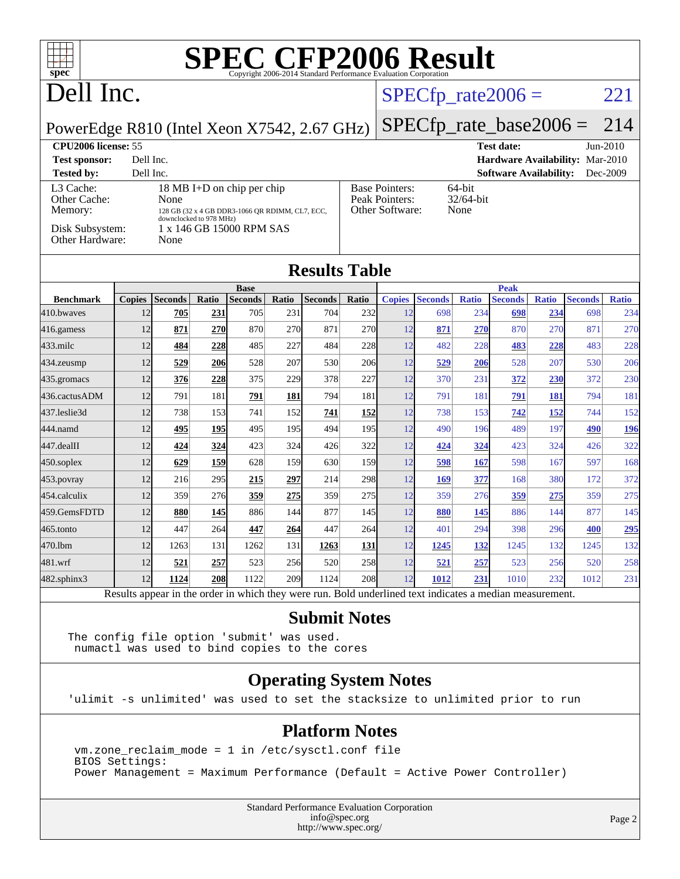| $spec^*$                                                                              |                                                                                                          |                |            |                               |       | Copyright 2006-2014 Standard Performance Evaluation Corporation |       |               | <b>SPEC CFP2006 Result</b> |              |                               |              |                |              |
|---------------------------------------------------------------------------------------|----------------------------------------------------------------------------------------------------------|----------------|------------|-------------------------------|-------|-----------------------------------------------------------------|-------|---------------|----------------------------|--------------|-------------------------------|--------------|----------------|--------------|
| Dell Inc.                                                                             |                                                                                                          |                |            |                               |       |                                                                 |       |               | $SPECfp\_rate2006 =$       |              |                               |              |                | 221          |
| PowerEdge R810 (Intel Xeon X7542, 2.67 GHz)                                           |                                                                                                          |                |            |                               |       |                                                                 |       |               | $SPECfp_rate\_base2006 =$  |              |                               |              |                | 214          |
| <b>CPU2006 license: 55</b>                                                            |                                                                                                          |                |            |                               |       |                                                                 |       |               |                            |              | <b>Test date:</b>             |              |                | Jun-2010     |
| <b>Test sponsor:</b><br>Hardware Availability: Mar-2010<br>Dell Inc.                  |                                                                                                          |                |            |                               |       |                                                                 |       |               |                            |              |                               |              |                |              |
| Dell Inc.<br><b>Software Availability:</b><br><b>Tested by:</b><br>Dec-2009           |                                                                                                          |                |            |                               |       |                                                                 |       |               |                            |              |                               |              |                |              |
| 18 MB I+D on chip per chip<br>L <sub>3</sub> Cache:<br>Other Cache:<br>None           |                                                                                                          |                |            |                               |       | 64-bit<br><b>Base Pointers:</b><br>Peak Pointers:<br>32/64-bit  |       |               |                            |              |                               |              |                |              |
| Memory:<br>128 GB (32 x 4 GB DDR3-1066 OR RDIMM, CL7, ECC,<br>downclocked to 978 MHz) |                                                                                                          |                |            |                               |       | Other Software:<br>None                                         |       |               |                            |              |                               |              |                |              |
| Disk Subsystem:<br>1 x 146 GB 15000 RPM SAS                                           |                                                                                                          |                |            |                               |       |                                                                 |       |               |                            |              |                               |              |                |              |
| Other Hardware:<br>None                                                               |                                                                                                          |                |            |                               |       |                                                                 |       |               |                            |              |                               |              |                |              |
|                                                                                       |                                                                                                          |                |            |                               |       |                                                                 |       |               |                            |              |                               |              |                |              |
| <b>Results Table</b>                                                                  |                                                                                                          |                |            |                               |       |                                                                 |       |               |                            |              |                               |              |                |              |
| <b>Benchmark</b>                                                                      | <b>Copies</b>                                                                                            | <b>Seconds</b> | Ratio      | <b>Base</b><br><b>Seconds</b> | Ratio | <b>Seconds</b>                                                  | Ratio | <b>Copies</b> | <b>Seconds</b>             | <b>Ratio</b> | <b>Peak</b><br><b>Seconds</b> | <b>Ratio</b> | <b>Seconds</b> | <b>Ratio</b> |
| 410.bwaves                                                                            | 12                                                                                                       | 705            | <u>231</u> | 705                           | 231   | 704                                                             | 232   | 12            | 698                        | 234          | 698                           | 234          | 698            | 234          |
| 416.gamess                                                                            | 12                                                                                                       | 871            | 270        | 870                           | 270   | 871                                                             | 270   | 12            | 871                        | 270          | 870                           | 270          | 871            | 270          |
| 433.milc                                                                              | 12                                                                                                       | 484            | <u>228</u> | 485                           | 227   | 484                                                             | 228   | 12            | 482                        | 228          | 483                           | 228          | 483            | 228          |
| 434.zeusmp                                                                            | 12                                                                                                       | 529            | 206        | 528                           | 207   | 530                                                             | 206   | 12            | 529                        | 206          | 528                           | 207          | 530            | 206          |
| 435.gromacs                                                                           | 12                                                                                                       | 376            | 228        | 375                           | 229   | 378                                                             | 227   | 12            | 370                        | 231          | 372                           | 230          | 372            | 230          |
| 436.cactusADM                                                                         | 12                                                                                                       | 791            | 181        | 791                           | 181   | 794                                                             | 181   | 12            | 791                        | 181          | 791                           | <b>181</b>   | 794            | 181          |
| 437.leslie3d                                                                          | 12                                                                                                       | 738            | 153        | 741                           | 152   | 741                                                             | 152   | 12            | 738                        | 153          | 742                           | 152          | 744            | 152          |
| 444.namd                                                                              | 12                                                                                                       | 495            | 195        | 495                           | 195   | 494                                                             | 195   | 12            | 490                        | 196          | 489                           | 197          | 490            | 196          |
| 447.dealII                                                                            | 12                                                                                                       | 424            | 324        | 423                           | 324   | 426                                                             | 322   | 12            | 424                        | 324          | 423                           | 324          | 426            | 322          |
| $450$ .soplex                                                                         | 12                                                                                                       | 629            | 159        | 628                           | 159   | 630                                                             | 159   | 12            | 598                        | 167          | 598                           | 167          | 597            | 168          |
| $453$ .povray                                                                         | 12                                                                                                       | 216            | 295        | 215                           | 297   | 214                                                             | 298   | 12            | 169                        | 377          | 168                           | 380          | 172            | 372          |
| 454.calculix                                                                          | 12                                                                                                       | 359            | 276        | 359                           | 275   | 359                                                             | 275   | 12            | 359                        | 276          | 359                           | 275          | 359            | 275          |
| 459.GemsFDTD                                                                          | 12                                                                                                       | 880            | 145        | 886                           | 144   | 877                                                             | 145   | 12            | 880                        | 145          | 886                           | 144          | 877            | 145          |
| 465.tonto                                                                             | 12                                                                                                       | 447            | 264        | 447                           | 264   | 447                                                             | 264   | 12            | 401                        | 294          | 398                           | 296          | 400            | 295          |
| 470.1bm                                                                               | 12                                                                                                       | 1263           | 131        | 1262                          | 131   | 1263                                                            | 131   | 12            | 1245                       | 132          | 1245                          | 132          | 1245           | 132          |
| 481.wrf                                                                               | 12                                                                                                       | 521            | 257        | 523                           | 256   | 520                                                             | 258   | 12            | 521                        | 257          | 523                           | 256          | 520            | 258          |
| $482$ .sphinx $3$                                                                     | 12                                                                                                       | 1124           | 208        | 1122                          | 209   | 1124                                                            | 208   | 12            | 1012                       | 231          | 1010                          | 232          | 1012           | 231          |
|                                                                                       | Results appear in the order in which they were run. Bold underlined text indicates a median measurement. |                |            |                               |       |                                                                 |       |               |                            |              |                               |              |                |              |

**[Submit Notes](http://www.spec.org/auto/cpu2006/Docs/result-fields.html#SubmitNotes)**

The config file option 'submit' was used. numactl was used to bind copies to the cores

#### **[Operating System Notes](http://www.spec.org/auto/cpu2006/Docs/result-fields.html#OperatingSystemNotes)**

'ulimit -s unlimited' was used to set the stacksize to unlimited prior to run

#### **[Platform Notes](http://www.spec.org/auto/cpu2006/Docs/result-fields.html#PlatformNotes)**

 vm.zone\_reclaim\_mode = 1 in /etc/sysctl.conf file BIOS Settings: Power Management = Maximum Performance (Default = Active Power Controller)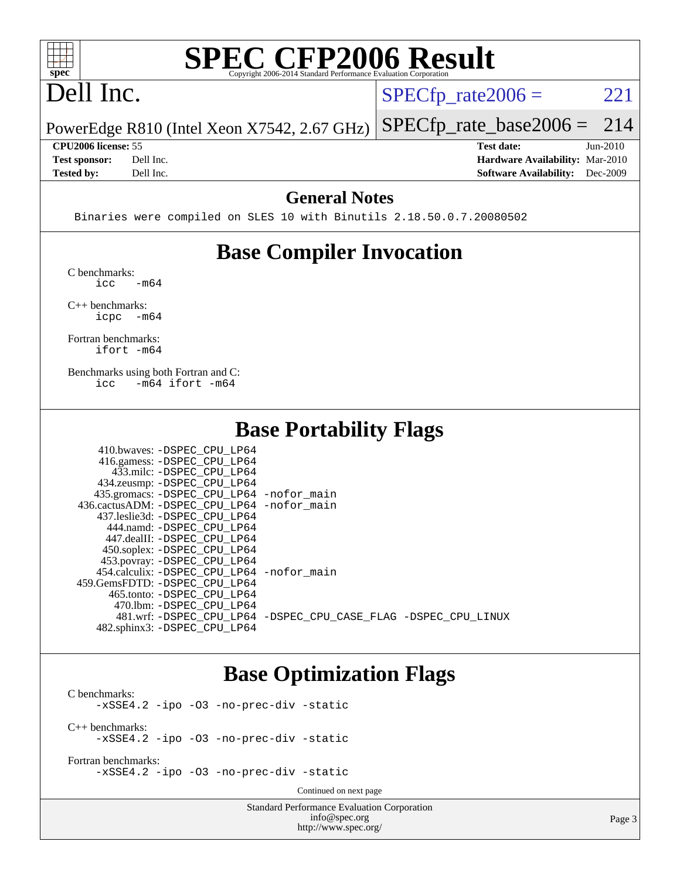

# **[SPEC CFP2006 Result](http://www.spec.org/auto/cpu2006/Docs/result-fields.html#SPECCFP2006Result)**

## Dell Inc.

 $SPECTp_rate2006 = 221$ 

PowerEdge R810 (Intel Xeon X7542, 2.67 GHz) [SPECfp\\_rate\\_base2006 =](http://www.spec.org/auto/cpu2006/Docs/result-fields.html#SPECfpratebase2006) 214

**[CPU2006 license:](http://www.spec.org/auto/cpu2006/Docs/result-fields.html#CPU2006license)** 55 **[Test date:](http://www.spec.org/auto/cpu2006/Docs/result-fields.html#Testdate)** Jun-2010 **[Test sponsor:](http://www.spec.org/auto/cpu2006/Docs/result-fields.html#Testsponsor)** Dell Inc. **[Hardware Availability:](http://www.spec.org/auto/cpu2006/Docs/result-fields.html#HardwareAvailability)** Mar-2010 **[Tested by:](http://www.spec.org/auto/cpu2006/Docs/result-fields.html#Testedby)** Dell Inc. **[Software Availability:](http://www.spec.org/auto/cpu2006/Docs/result-fields.html#SoftwareAvailability)** Dec-2009

#### **[General Notes](http://www.spec.org/auto/cpu2006/Docs/result-fields.html#GeneralNotes)**

Binaries were compiled on SLES 10 with Binutils 2.18.50.0.7.20080502

## **[Base Compiler Invocation](http://www.spec.org/auto/cpu2006/Docs/result-fields.html#BaseCompilerInvocation)**

[C benchmarks](http://www.spec.org/auto/cpu2006/Docs/result-fields.html#Cbenchmarks):  $\text{icc}$   $-\text{m64}$ 

[C++ benchmarks:](http://www.spec.org/auto/cpu2006/Docs/result-fields.html#CXXbenchmarks) [icpc -m64](http://www.spec.org/cpu2006/results/res2010q3/cpu2006-20100803-12829.flags.html#user_CXXbase_intel_icpc_64bit_bedb90c1146cab66620883ef4f41a67e)

[Fortran benchmarks](http://www.spec.org/auto/cpu2006/Docs/result-fields.html#Fortranbenchmarks): [ifort -m64](http://www.spec.org/cpu2006/results/res2010q3/cpu2006-20100803-12829.flags.html#user_FCbase_intel_ifort_64bit_ee9d0fb25645d0210d97eb0527dcc06e)

[Benchmarks using both Fortran and C](http://www.spec.org/auto/cpu2006/Docs/result-fields.html#BenchmarksusingbothFortranandC): [icc -m64](http://www.spec.org/cpu2006/results/res2010q3/cpu2006-20100803-12829.flags.html#user_CC_FCbase_intel_icc_64bit_0b7121f5ab7cfabee23d88897260401c) [ifort -m64](http://www.spec.org/cpu2006/results/res2010q3/cpu2006-20100803-12829.flags.html#user_CC_FCbase_intel_ifort_64bit_ee9d0fb25645d0210d97eb0527dcc06e)

### **[Base Portability Flags](http://www.spec.org/auto/cpu2006/Docs/result-fields.html#BasePortabilityFlags)**

| 410.bwaves: -DSPEC CPU LP64                |                                                                |
|--------------------------------------------|----------------------------------------------------------------|
| 416.gamess: -DSPEC_CPU_LP64                |                                                                |
| 433.milc: -DSPEC CPU LP64                  |                                                                |
| 434.zeusmp: -DSPEC_CPU_LP64                |                                                                |
| 435.gromacs: -DSPEC_CPU_LP64 -nofor_main   |                                                                |
| 436.cactusADM: -DSPEC CPU LP64 -nofor main |                                                                |
| 437.leslie3d: -DSPEC CPU LP64              |                                                                |
| 444.namd: -DSPEC CPU LP64                  |                                                                |
| 447.dealII: -DSPEC CPU LP64                |                                                                |
| 450.soplex: -DSPEC_CPU_LP64                |                                                                |
| 453.povray: -DSPEC_CPU_LP64                |                                                                |
| 454.calculix: -DSPEC CPU LP64 -nofor main  |                                                                |
| 459.GemsFDTD: -DSPEC_CPU LP64              |                                                                |
| 465.tonto: -DSPEC CPU LP64                 |                                                                |
| 470.1bm: - DSPEC CPU LP64                  |                                                                |
|                                            | 481.wrf: -DSPEC_CPU_LP64 -DSPEC_CPU_CASE_FLAG -DSPEC_CPU_LINUX |
| 482.sphinx3: -DSPEC CPU LP64               |                                                                |

## **[Base Optimization Flags](http://www.spec.org/auto/cpu2006/Docs/result-fields.html#BaseOptimizationFlags)**

[C benchmarks](http://www.spec.org/auto/cpu2006/Docs/result-fields.html#Cbenchmarks): [-xSSE4.2](http://www.spec.org/cpu2006/results/res2010q3/cpu2006-20100803-12829.flags.html#user_CCbase_f-xSSE42_f91528193cf0b216347adb8b939d4107) [-ipo](http://www.spec.org/cpu2006/results/res2010q3/cpu2006-20100803-12829.flags.html#user_CCbase_f-ipo) [-O3](http://www.spec.org/cpu2006/results/res2010q3/cpu2006-20100803-12829.flags.html#user_CCbase_f-O3) [-no-prec-div](http://www.spec.org/cpu2006/results/res2010q3/cpu2006-20100803-12829.flags.html#user_CCbase_f-no-prec-div) [-static](http://www.spec.org/cpu2006/results/res2010q3/cpu2006-20100803-12829.flags.html#user_CCbase_f-static) [C++ benchmarks:](http://www.spec.org/auto/cpu2006/Docs/result-fields.html#CXXbenchmarks) [-xSSE4.2](http://www.spec.org/cpu2006/results/res2010q3/cpu2006-20100803-12829.flags.html#user_CXXbase_f-xSSE42_f91528193cf0b216347adb8b939d4107) [-ipo](http://www.spec.org/cpu2006/results/res2010q3/cpu2006-20100803-12829.flags.html#user_CXXbase_f-ipo) [-O3](http://www.spec.org/cpu2006/results/res2010q3/cpu2006-20100803-12829.flags.html#user_CXXbase_f-O3) [-no-prec-div](http://www.spec.org/cpu2006/results/res2010q3/cpu2006-20100803-12829.flags.html#user_CXXbase_f-no-prec-div) [-static](http://www.spec.org/cpu2006/results/res2010q3/cpu2006-20100803-12829.flags.html#user_CXXbase_f-static)

[Fortran benchmarks](http://www.spec.org/auto/cpu2006/Docs/result-fields.html#Fortranbenchmarks): [-xSSE4.2](http://www.spec.org/cpu2006/results/res2010q3/cpu2006-20100803-12829.flags.html#user_FCbase_f-xSSE42_f91528193cf0b216347adb8b939d4107) [-ipo](http://www.spec.org/cpu2006/results/res2010q3/cpu2006-20100803-12829.flags.html#user_FCbase_f-ipo) [-O3](http://www.spec.org/cpu2006/results/res2010q3/cpu2006-20100803-12829.flags.html#user_FCbase_f-O3) [-no-prec-div](http://www.spec.org/cpu2006/results/res2010q3/cpu2006-20100803-12829.flags.html#user_FCbase_f-no-prec-div) [-static](http://www.spec.org/cpu2006/results/res2010q3/cpu2006-20100803-12829.flags.html#user_FCbase_f-static)

Continued on next page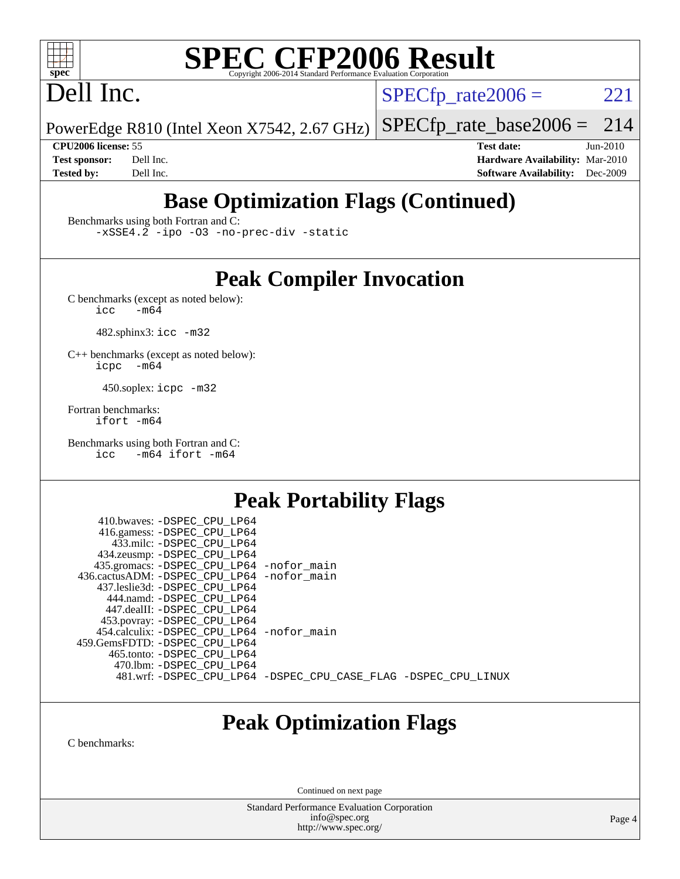

# **[SPEC CFP2006 Result](http://www.spec.org/auto/cpu2006/Docs/result-fields.html#SPECCFP2006Result)**

## Dell Inc.

 $SPECTp\_rate2006 = 221$ 

PowerEdge R810 (Intel Xeon X7542, 2.67 GHz) [SPECfp\\_rate\\_base2006 =](http://www.spec.org/auto/cpu2006/Docs/result-fields.html#SPECfpratebase2006) 214

**[CPU2006 license:](http://www.spec.org/auto/cpu2006/Docs/result-fields.html#CPU2006license)** 55 **[Test date:](http://www.spec.org/auto/cpu2006/Docs/result-fields.html#Testdate)** Jun-2010 **[Test sponsor:](http://www.spec.org/auto/cpu2006/Docs/result-fields.html#Testsponsor)** Dell Inc. **[Hardware Availability:](http://www.spec.org/auto/cpu2006/Docs/result-fields.html#HardwareAvailability)** Mar-2010 **[Tested by:](http://www.spec.org/auto/cpu2006/Docs/result-fields.html#Testedby)** Dell Inc. **[Software Availability:](http://www.spec.org/auto/cpu2006/Docs/result-fields.html#SoftwareAvailability)** Dec-2009

## **[Base Optimization Flags \(Continued\)](http://www.spec.org/auto/cpu2006/Docs/result-fields.html#BaseOptimizationFlags)**

[Benchmarks using both Fortran and C](http://www.spec.org/auto/cpu2006/Docs/result-fields.html#BenchmarksusingbothFortranandC):

[-xSSE4.2](http://www.spec.org/cpu2006/results/res2010q3/cpu2006-20100803-12829.flags.html#user_CC_FCbase_f-xSSE42_f91528193cf0b216347adb8b939d4107) [-ipo](http://www.spec.org/cpu2006/results/res2010q3/cpu2006-20100803-12829.flags.html#user_CC_FCbase_f-ipo) [-O3](http://www.spec.org/cpu2006/results/res2010q3/cpu2006-20100803-12829.flags.html#user_CC_FCbase_f-O3) [-no-prec-div](http://www.spec.org/cpu2006/results/res2010q3/cpu2006-20100803-12829.flags.html#user_CC_FCbase_f-no-prec-div) [-static](http://www.spec.org/cpu2006/results/res2010q3/cpu2006-20100803-12829.flags.html#user_CC_FCbase_f-static)

## **[Peak Compiler Invocation](http://www.spec.org/auto/cpu2006/Docs/result-fields.html#PeakCompilerInvocation)**

[C benchmarks \(except as noted below\)](http://www.spec.org/auto/cpu2006/Docs/result-fields.html#Cbenchmarksexceptasnotedbelow):<br> $\frac{1}{\text{CC}}$  -m64  $-m64$ 

482.sphinx3: [icc -m32](http://www.spec.org/cpu2006/results/res2010q3/cpu2006-20100803-12829.flags.html#user_peakCCLD482_sphinx3_intel_icc_32bit_a6a621f8d50482236b970c6ac5f55f93)

[C++ benchmarks \(except as noted below\):](http://www.spec.org/auto/cpu2006/Docs/result-fields.html#CXXbenchmarksexceptasnotedbelow) [icpc -m64](http://www.spec.org/cpu2006/results/res2010q3/cpu2006-20100803-12829.flags.html#user_CXXpeak_intel_icpc_64bit_bedb90c1146cab66620883ef4f41a67e)

450.soplex: [icpc -m32](http://www.spec.org/cpu2006/results/res2010q3/cpu2006-20100803-12829.flags.html#user_peakCXXLD450_soplex_intel_icpc_32bit_4e5a5ef1a53fd332b3c49e69c3330699)

[Fortran benchmarks](http://www.spec.org/auto/cpu2006/Docs/result-fields.html#Fortranbenchmarks): [ifort -m64](http://www.spec.org/cpu2006/results/res2010q3/cpu2006-20100803-12829.flags.html#user_FCpeak_intel_ifort_64bit_ee9d0fb25645d0210d97eb0527dcc06e)

[Benchmarks using both Fortran and C](http://www.spec.org/auto/cpu2006/Docs/result-fields.html#BenchmarksusingbothFortranandC): [icc -m64](http://www.spec.org/cpu2006/results/res2010q3/cpu2006-20100803-12829.flags.html#user_CC_FCpeak_intel_icc_64bit_0b7121f5ab7cfabee23d88897260401c) [ifort -m64](http://www.spec.org/cpu2006/results/res2010q3/cpu2006-20100803-12829.flags.html#user_CC_FCpeak_intel_ifort_64bit_ee9d0fb25645d0210d97eb0527dcc06e)

## **[Peak Portability Flags](http://www.spec.org/auto/cpu2006/Docs/result-fields.html#PeakPortabilityFlags)**

 410.bwaves: [-DSPEC\\_CPU\\_LP64](http://www.spec.org/cpu2006/results/res2010q3/cpu2006-20100803-12829.flags.html#suite_peakPORTABILITY410_bwaves_DSPEC_CPU_LP64) 416.gamess: [-DSPEC\\_CPU\\_LP64](http://www.spec.org/cpu2006/results/res2010q3/cpu2006-20100803-12829.flags.html#suite_peakPORTABILITY416_gamess_DSPEC_CPU_LP64) 433.milc: [-DSPEC\\_CPU\\_LP64](http://www.spec.org/cpu2006/results/res2010q3/cpu2006-20100803-12829.flags.html#suite_peakPORTABILITY433_milc_DSPEC_CPU_LP64) 434.zeusmp: [-DSPEC\\_CPU\\_LP64](http://www.spec.org/cpu2006/results/res2010q3/cpu2006-20100803-12829.flags.html#suite_peakPORTABILITY434_zeusmp_DSPEC_CPU_LP64) 435.gromacs: [-DSPEC\\_CPU\\_LP64](http://www.spec.org/cpu2006/results/res2010q3/cpu2006-20100803-12829.flags.html#suite_peakPORTABILITY435_gromacs_DSPEC_CPU_LP64) [-nofor\\_main](http://www.spec.org/cpu2006/results/res2010q3/cpu2006-20100803-12829.flags.html#user_peakLDPORTABILITY435_gromacs_f-nofor_main) 436.cactusADM: [-DSPEC\\_CPU\\_LP64](http://www.spec.org/cpu2006/results/res2010q3/cpu2006-20100803-12829.flags.html#suite_peakPORTABILITY436_cactusADM_DSPEC_CPU_LP64) [-nofor\\_main](http://www.spec.org/cpu2006/results/res2010q3/cpu2006-20100803-12829.flags.html#user_peakLDPORTABILITY436_cactusADM_f-nofor_main) 437.leslie3d: [-DSPEC\\_CPU\\_LP64](http://www.spec.org/cpu2006/results/res2010q3/cpu2006-20100803-12829.flags.html#suite_peakPORTABILITY437_leslie3d_DSPEC_CPU_LP64) 444.namd: [-DSPEC\\_CPU\\_LP64](http://www.spec.org/cpu2006/results/res2010q3/cpu2006-20100803-12829.flags.html#suite_peakPORTABILITY444_namd_DSPEC_CPU_LP64) 447.dealII: [-DSPEC\\_CPU\\_LP64](http://www.spec.org/cpu2006/results/res2010q3/cpu2006-20100803-12829.flags.html#suite_peakPORTABILITY447_dealII_DSPEC_CPU_LP64) 453.povray: [-DSPEC\\_CPU\\_LP64](http://www.spec.org/cpu2006/results/res2010q3/cpu2006-20100803-12829.flags.html#suite_peakPORTABILITY453_povray_DSPEC_CPU_LP64) 454.calculix: [-DSPEC\\_CPU\\_LP64](http://www.spec.org/cpu2006/results/res2010q3/cpu2006-20100803-12829.flags.html#suite_peakPORTABILITY454_calculix_DSPEC_CPU_LP64) [-nofor\\_main](http://www.spec.org/cpu2006/results/res2010q3/cpu2006-20100803-12829.flags.html#user_peakLDPORTABILITY454_calculix_f-nofor_main) 459.GemsFDTD: [-DSPEC\\_CPU\\_LP64](http://www.spec.org/cpu2006/results/res2010q3/cpu2006-20100803-12829.flags.html#suite_peakPORTABILITY459_GemsFDTD_DSPEC_CPU_LP64) 465.tonto: [-DSPEC\\_CPU\\_LP64](http://www.spec.org/cpu2006/results/res2010q3/cpu2006-20100803-12829.flags.html#suite_peakPORTABILITY465_tonto_DSPEC_CPU_LP64) 470.lbm: [-DSPEC\\_CPU\\_LP64](http://www.spec.org/cpu2006/results/res2010q3/cpu2006-20100803-12829.flags.html#suite_peakPORTABILITY470_lbm_DSPEC_CPU_LP64) 481.wrf: [-DSPEC\\_CPU\\_LP64](http://www.spec.org/cpu2006/results/res2010q3/cpu2006-20100803-12829.flags.html#suite_peakPORTABILITY481_wrf_DSPEC_CPU_LP64) [-DSPEC\\_CPU\\_CASE\\_FLAG](http://www.spec.org/cpu2006/results/res2010q3/cpu2006-20100803-12829.flags.html#b481.wrf_peakCPORTABILITY_DSPEC_CPU_CASE_FLAG) [-DSPEC\\_CPU\\_LINUX](http://www.spec.org/cpu2006/results/res2010q3/cpu2006-20100803-12829.flags.html#b481.wrf_peakCPORTABILITY_DSPEC_CPU_LINUX)

## **[Peak Optimization Flags](http://www.spec.org/auto/cpu2006/Docs/result-fields.html#PeakOptimizationFlags)**

[C benchmarks](http://www.spec.org/auto/cpu2006/Docs/result-fields.html#Cbenchmarks):

Continued on next page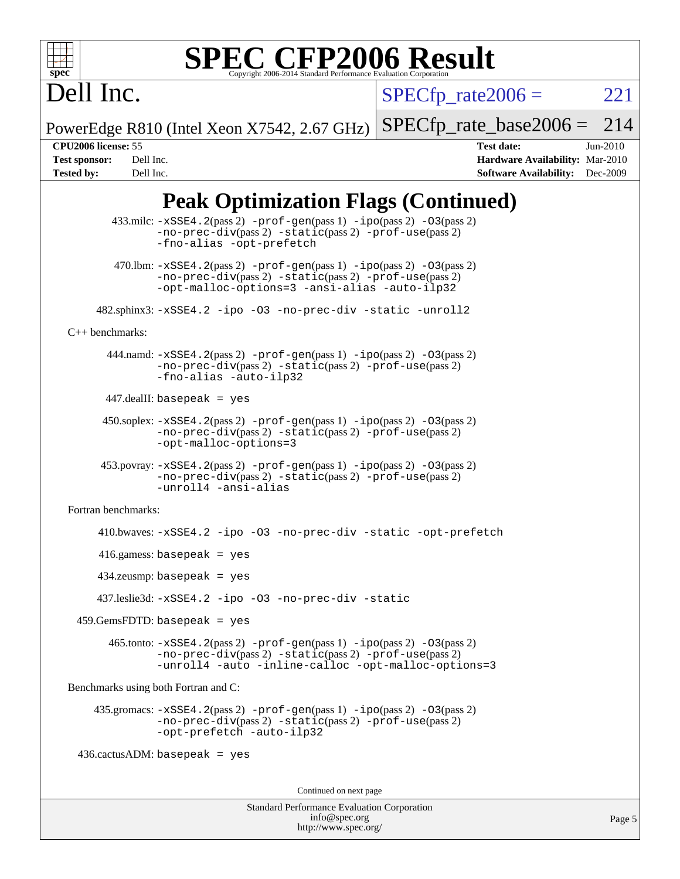

# **[SPEC CFP2006 Result](http://www.spec.org/auto/cpu2006/Docs/result-fields.html#SPECCFP2006Result)**

Dell Inc.

 $SPECTp\_rate2006 = 221$ 

PowerEdge R810 (Intel Xeon X7542, 2.67 GHz)  $SPECTp\_rate\_base2006 = 214$ 

**[CPU2006 license:](http://www.spec.org/auto/cpu2006/Docs/result-fields.html#CPU2006license)** 55 **[Test date:](http://www.spec.org/auto/cpu2006/Docs/result-fields.html#Testdate)** Jun-2010 **[Test sponsor:](http://www.spec.org/auto/cpu2006/Docs/result-fields.html#Testsponsor)** Dell Inc. **[Hardware Availability:](http://www.spec.org/auto/cpu2006/Docs/result-fields.html#HardwareAvailability)** Mar-2010 **[Tested by:](http://www.spec.org/auto/cpu2006/Docs/result-fields.html#Testedby)** Dell Inc. **[Software Availability:](http://www.spec.org/auto/cpu2006/Docs/result-fields.html#SoftwareAvailability)** Dec-2009

## **[Peak Optimization Flags \(Continued\)](http://www.spec.org/auto/cpu2006/Docs/result-fields.html#PeakOptimizationFlags)**

```
433.milc: -xSSE4. 2(pass 2) -prof-gen-ipo-O3(pass 2)-no-prec-div(pass 2) -static(pass 2) -prof-use(pass 2)
               -fno-alias -opt-prefetch
        470.lbm: -xSSE4. 2(pass 2) -prof-gen-ipo-O3(pass 2)-no-prec-div(pass 2) -static(pass 2) -prof-use(pass 2)
               -opt-malloc-options=3 -ansi-alias -auto-ilp32
      482.sphinx3: -xSSE4.2 -ipo -O3 -no-prec-div -static -unroll2
C++ benchmarks: 
      444.namd: -xSSE4. 2(pass 2) -prof-gen-ipo-O3(pass 2)-no-prec-div(pass 2) -static(pass 2) -prof-use(pass 2)
               -fno-alias -auto-ilp32
      447.dealII: basepeak = yes
       450.soplex: -xSSE4.2(pass 2) -prof-gen(pass 1) -ipo(pass 2) -O3(pass 2)
               -no-prec-div(pass 2) -static(pass 2) -prof-use(pass 2)
               -opt-malloc-options=3
      453.povray: -xSSE4.2(pass 2) -prof-gen(pass 1) -ipo(pass 2) -O3(pass 2)
               -no-prec-div(pass 2) -static(pass 2) -prof-use(pass 2)
               -unroll4 -ansi-alias
Fortran benchmarks: 
      410.bwaves: -xSSE4.2 -ipo -O3 -no-prec-div -static -opt-prefetch
      416.gamess: basepeak = yes
      434.zeusmp: basepeak = yes
      437.leslie3d: -xSSE4.2 -ipo -O3 -no-prec-div -static
  459.GemsFDTD: basepeak = yes
        465.tonto: -xSSE4.2(pass 2) -prof-gen(pass 1) -ipo(pass 2) -O3(pass 2)
               -no-prec-div(pass 2) -static(pass 2) -prof-use(pass 2)
               -unroll4 -auto -inline-calloc -opt-malloc-options=3
Benchmarks using both Fortran and C: 
     435.gromacs: -xSSE4.2(pass 2) -prof-gen(pass 1) -ipo(pass 2) -O3(pass 2)
               -no-prec-div(pass 2) -static(pass 2) -prof-use(pass 2)
               -opt-prefetch -auto-ilp32
 436.cactusADM: basepeak = yesContinued on next page
```